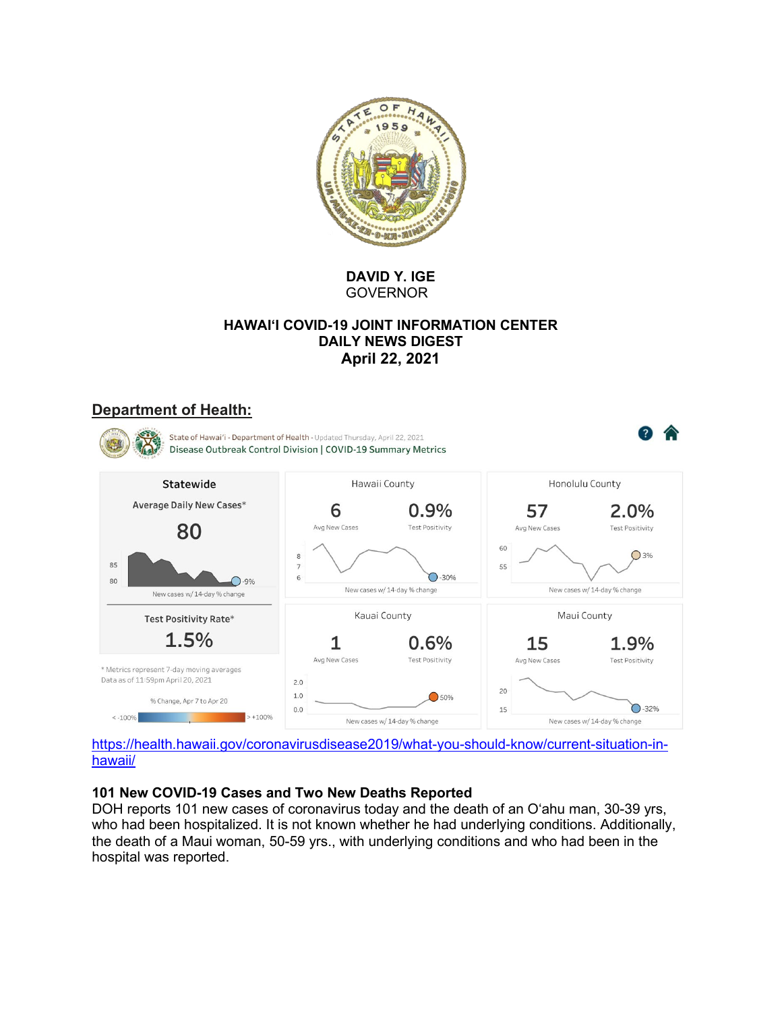

**DAVID Y. IGE GOVERNOR** 

### **HAWAI'I COVID-19 JOINT INFORMATION CENTER DAILY NEWS DIGEST April 22, 2021**

## **Department of Health:**



https://health.hawaii.gov/coronavirusdisease2019/what-you-should-know/current-situation-inhawaii/

#### **101 New COVID-19 Cases and Two New Deaths Reported**

DOH reports 101 new cases of coronavirus today and the death of an O'ahu man, 30-39 yrs, who had been hospitalized. It is not known whether he had underlying conditions. Additionally, the death of a Maui woman, 50-59 yrs., with underlying conditions and who had been in the hospital was reported.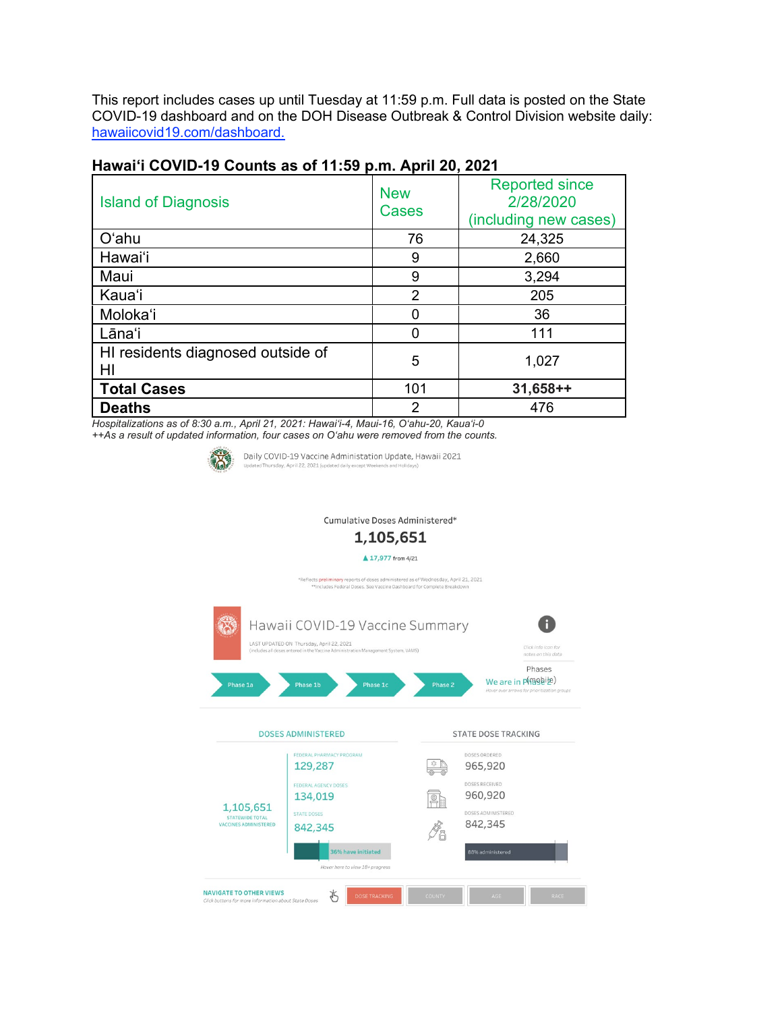This report includes cases up until Tuesday at 11:59 p.m. Full data is posted on the State COVID-19 dashboard and on the DOH Disease Outbreak & Control Division website daily: hawaiicovid19.com/dashboard.

| <b>Island of Diagnosis</b>              | <b>New</b><br><b>Cases</b> | <b>Reported since</b><br>2/28/2020<br>(including new cases) |  |  |  |  |  |
|-----------------------------------------|----------------------------|-------------------------------------------------------------|--|--|--|--|--|
| O'ahu                                   | 76                         | 24,325                                                      |  |  |  |  |  |
| Hawai'i                                 | 9                          | 2,660                                                       |  |  |  |  |  |
| Maui                                    | 9                          | 3,294                                                       |  |  |  |  |  |
| Kaua'i                                  | $\mathcal{P}$              | 205                                                         |  |  |  |  |  |
| Moloka'i                                |                            | 36                                                          |  |  |  |  |  |
| Lāna'i                                  |                            | 111                                                         |  |  |  |  |  |
| HI residents diagnosed outside of<br>HI | 5                          | 1,027                                                       |  |  |  |  |  |
| <b>Total Cases</b>                      | 101                        | $31,658++$                                                  |  |  |  |  |  |
| <b>Deaths</b>                           | 2                          | 476                                                         |  |  |  |  |  |

# **Hawai'i COVID-19 Counts as of 11:59 p.m. April 20, 2021**

*Hospitalizations as of 8:30 a.m., April 21, 2021: Hawai'i-4, Maui-16, O'ahu-20, Kaua'i-0 ++As a result of updated information, four cases on O'ahu were removed from the counts.*



Daily COVID-19 Vaccine Administation Update, Hawaii 2021 lay, April 22, 2021 (upda

Cumulative Doses Administered\*

#### 1,105,651

▲ 17,977 from 4/21

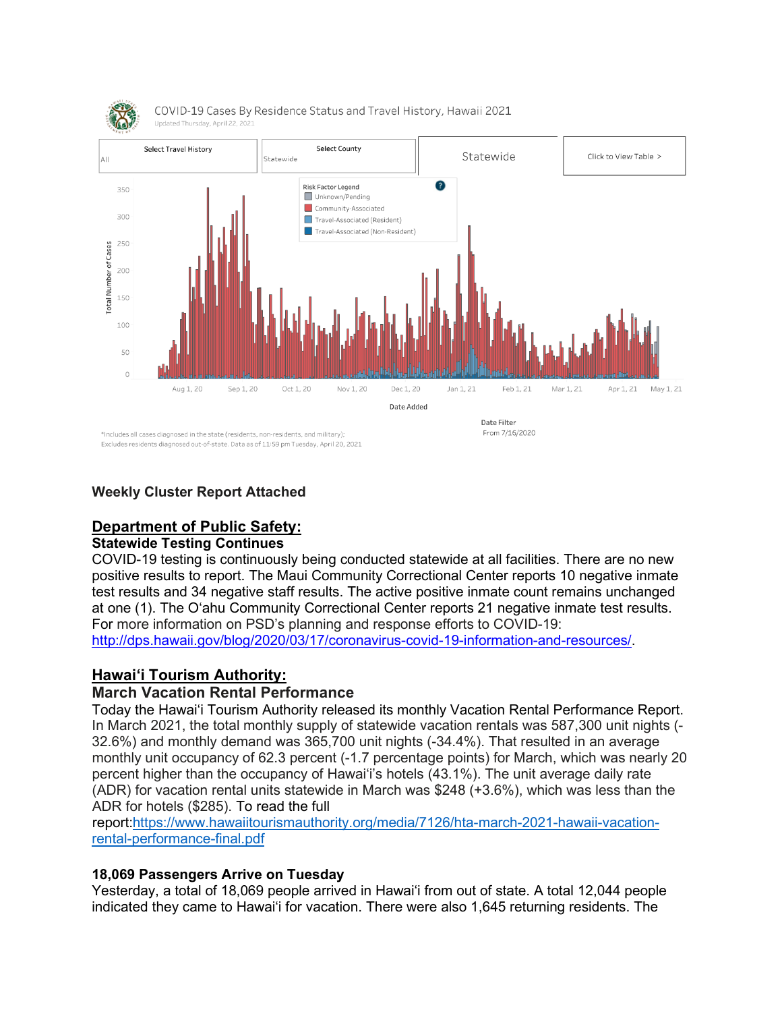

### **Weekly Cluster Report Attached**

# **Department of Public Safety:**

### **Statewide Testing Continues**

COVID-19 testing is continuously being conducted statewide at all facilities. There are no new positive results to report. The Maui Community Correctional Center reports 10 negative inmate test results and 34 negative staff results. The active positive inmate count remains unchanged at one (1). The O'ahu Community Correctional Center reports 21 negative inmate test results. For more information on PSD's planning and response efforts to COVID-19: [http://dps.hawaii.gov/blog/2020/03/17/coronavirus-covid-19-information-and-resources/.](http://dps.hawaii.gov/blog/2020/03/17/coronavirus-covid-19-information-and-resources/)

## **Hawaiʻi Tourism Authority:**

#### **March Vacation Rental Performance**

Today the Hawai'i Tourism Authority released its monthly Vacation Rental Performance Report. In March 2021, the total monthly supply of statewide vacation rentals was 587,300 unit nights (- 32.6%) and monthly demand was 365,700 unit nights (-34.4%). That resulted in an average monthly unit occupancy of 62.3 percent (-1.7 percentage points) for March, which was nearly 20 percent higher than the occupancy of Hawai'i's hotels (43.1%). The unit average daily rate (ADR) for vacation rental units statewide in March was \$248 (+3.6%), which was less than the ADR for hotels (\$285). To read the full

report[:https://www.hawaiitourismauthority.org/media/7126/hta-march-2021-hawaii-vacation](https://urldefense.com/v3/__https:/www.hawaiitourismauthority.org/media/7126/hta-march-2021-hawaii-vacation-rental-performance-final.pdf__;!!LIYSdFfckKA!g-E5Gg5SaVLZp_yM7Tn14NJ0FcfM3LSQTPPJgiTEugby6SCbM3SAs65DOXJQYepD3WewxyE$)[rental-performance-final.pdf](https://urldefense.com/v3/__https:/www.hawaiitourismauthority.org/media/7126/hta-march-2021-hawaii-vacation-rental-performance-final.pdf__;!!LIYSdFfckKA!g-E5Gg5SaVLZp_yM7Tn14NJ0FcfM3LSQTPPJgiTEugby6SCbM3SAs65DOXJQYepD3WewxyE$)

#### **18,069 Passengers Arrive on Tuesday**

Yesterday, a total of 18,069 people arrived in Hawai'i from out of state. A total 12,044 people indicated they came to Hawai'i for vacation. There were also 1,645 returning residents. The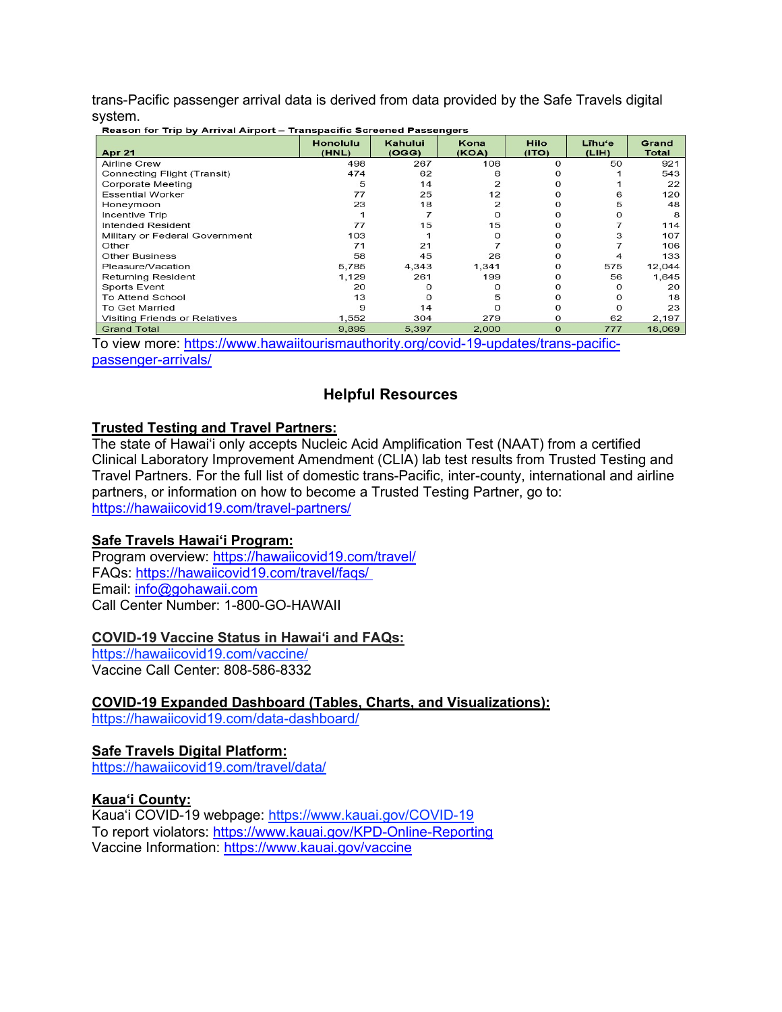trans-Pacific passenger arrival data is derived from data provided by the Safe Travels digital system. er Trin by Arrival Airment - Treneneeific Coreaned Recognation

| Reason for Thip by Arrival Aliport - Transpacing Screened Passengers |                          |                  |               |                      |                 |                |  |  |
|----------------------------------------------------------------------|--------------------------|------------------|---------------|----------------------|-----------------|----------------|--|--|
| <b>Apr 21</b>                                                        | <b>Honolulu</b><br>(HNL) | Kahului<br>(OGG) | Kona<br>(KOA) | <b>Hilo</b><br>(1TO) | Līhu'e<br>(LIH) | Grand<br>Total |  |  |
|                                                                      |                          |                  |               |                      |                 |                |  |  |
| <b>Airline Crew</b>                                                  | 498                      | 267              | 106           | $\Omega$             | 50              | 921            |  |  |
| Connecting Flight (Transit)                                          | 474                      | 62               |               |                      |                 | 543            |  |  |
| Corporate Meeting                                                    | 5                        | 14               |               |                      |                 | 22             |  |  |
| <b>Essential Worker</b>                                              | 77                       | 25               | 12            |                      | 6               | 120            |  |  |
| Honeymoon                                                            | 23                       | 18               | 2             |                      | 5               | 48             |  |  |
| <b>Incentive Trip</b>                                                |                          |                  |               |                      | $\Omega$        | 8              |  |  |
| <b>Intended Resident</b>                                             | 77                       | 15               | 15            |                      |                 | 114            |  |  |
| Military or Federal Government                                       | 103                      |                  |               | Ω                    | 3               | 107            |  |  |
| Other                                                                | 71                       | 21               |               |                      |                 | 106            |  |  |
| <b>Other Business</b>                                                | 58                       | 45               | 26            |                      | 4               | 133            |  |  |
| Pleasure/Vacation                                                    | 5,785                    | 4,343            | 1,341         | Ω                    | 575             | 12,044         |  |  |
| <b>Returning Resident</b>                                            | 1,129                    | 261              | 199           |                      | 56              | 1,645          |  |  |
| <b>Sports Event</b>                                                  | 20                       |                  |               |                      | O               | 20             |  |  |
| To Attend School                                                     | 13                       | $\Omega$         | 5             |                      | 0               | 18             |  |  |
| To Get Married                                                       | 9                        | 14               |               | O                    | $\Omega$        | 23             |  |  |
| Visiting Friends or Relatives                                        | 1,552                    | 304              | 279           | $\Omega$             | 62              | 2,197          |  |  |
| <b>Grand Total</b>                                                   | 9.895                    | 5.397            | 2.000         | $\Omega$             | 777             | 18.069         |  |  |

To view more: [https://www.hawaiitourismauthority.org/covid-19-updates/trans-pacific](https://www.hawaiitourismauthority.org/covid-19-updates/trans-pacific-passenger-arrivals/)[passenger-arrivals/](https://www.hawaiitourismauthority.org/covid-19-updates/trans-pacific-passenger-arrivals/)

# **Helpful Resources**

#### **Trusted Testing and Travel Partners:**

The state of Hawai'i only accepts Nucleic Acid Amplification Test (NAAT) from a certified Clinical Laboratory Improvement Amendment (CLIA) lab test results from Trusted Testing and Travel Partners. For the full list of domestic trans-Pacific, inter-county, international and airline partners, or information on how to become a Trusted Testing Partner, go to: <https://hawaiicovid19.com/travel-partners/>

#### **Safe Travels Hawai'i Program:**

Program overview: <https://hawaiicovid19.com/travel/> FAQs: <https://hawaiicovid19.com/travel/faqs/> Email: [info@gohawaii.com](mailto:info@gohawaii.com) Call Center Number: 1-800-GO-HAWAII

#### **COVID-19 Vaccine Status in Hawai'i and FAQs:**

<https://hawaiicovid19.com/vaccine/> Vaccine Call Center: 808-586-8332

## **COVID-19 Expanded Dashboard (Tables, Charts, and Visualizations):**

<https://hawaiicovid19.com/data-dashboard/>

#### **Safe Travels Digital Platform:**

<https://hawaiicovid19.com/travel/data/>

**Kaua'i County:** Kaua'i COVID-19 webpage: [https://www.kauai.gov/COVID-19](https://urldefense.com/v3/__https:/www.kauai.gov/COVID-19__;!!LIYSdFfckKA!lGMCnxxStMR7GWUAlGIn3U0WQDGrEbqqk41odwQPW4z010IdREF6I-MrzXMLNpGwES-sBoY$) To report violators: [https://www.kauai.gov/KPD-Online-Reporting](https://urldefense.com/v3/__https:/www.kauai.gov/KPD-Online-Reporting__;!!LIYSdFfckKA!lGMCnxxStMR7GWUAlGIn3U0WQDGrEbqqk41odwQPW4z010IdREF6I-MrzXMLNpGw_f63HRg$) Vaccine Information: [https://www.kauai.gov/vaccine](https://urldefense.com/v3/__https:/www.kauai.gov/vaccine__;!!LIYSdFfckKA!lGMCnxxStMR7GWUAlGIn3U0WQDGrEbqqk41odwQPW4z010IdREF6I-MrzXMLNpGwLqlwROE$)